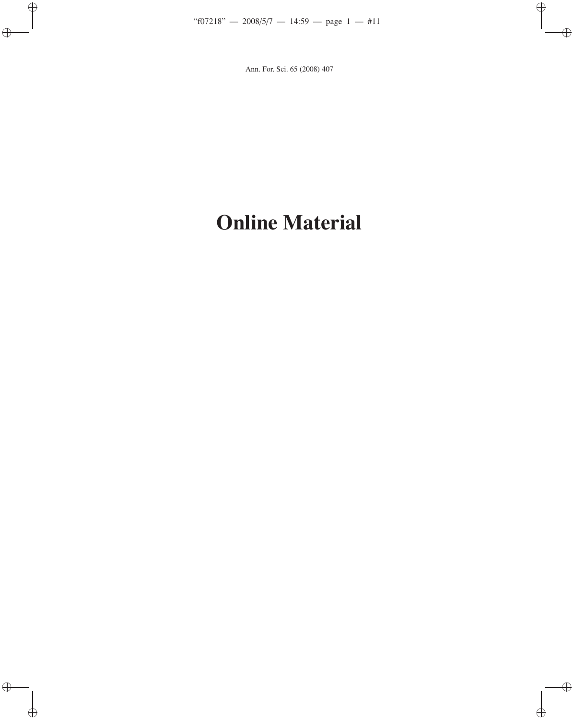## **Online Material**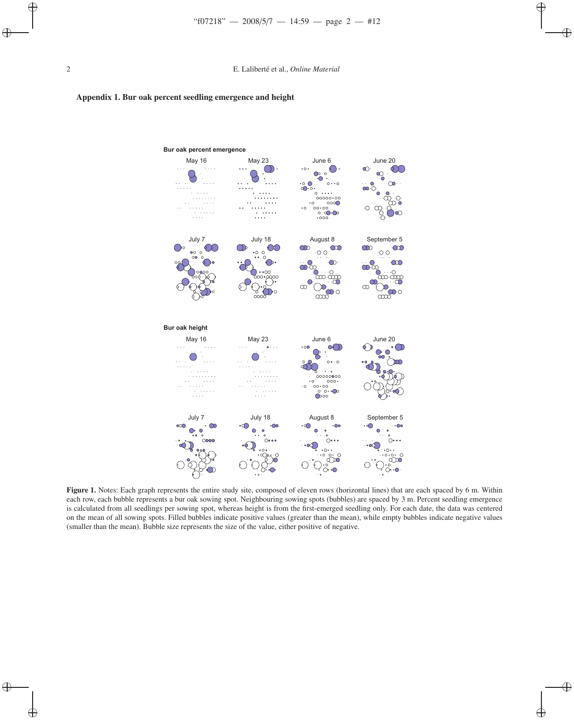



**Figure 1.** Notes: Each graph represents the entire study site, composed of eleven rows (horizontal lines) that are each spaced by 6 m. Within each row, each bubble represents a bur oak sowing spot. Neighbouring sowing spots (bubbles) are spaced by 3 m. Percent seedling emergence is calculated from all seedlings per sowing spot, whereas height is from the first-emerged seedling only. For each date, the data was centered on the mean of all sowing spots. Filled bubbles indicate positive values (greater than the mean), while empty bubbles indicate negative values (smaller than the mean). Bubble size represents the size of the value, either positive of negative.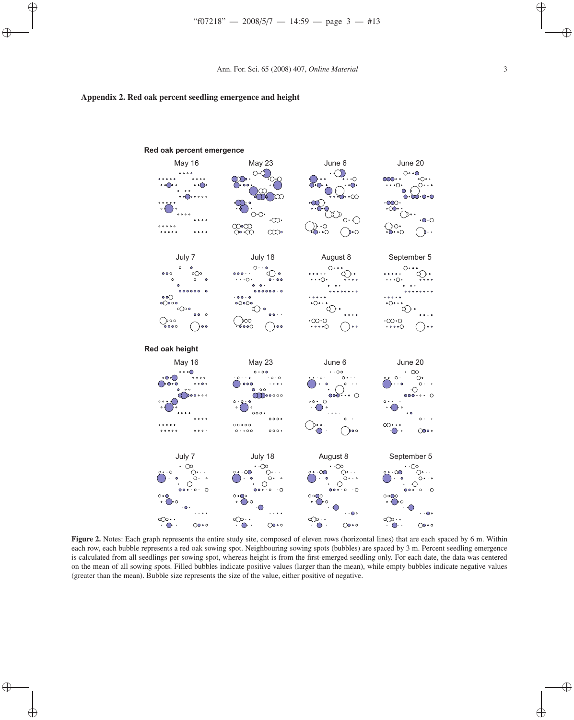## **Appendix 2. Red oak percent seedling emergence and height**



**Red oak percent emergence**

**Figure 2.** Notes: Each graph represents the entire study site, composed of eleven rows (horizontal lines) that are each spaced by 6 m. Within each row, each bubble represents a red oak sowing spot. Neighbouring sowing spots (bubbles) are spaced by 3 m. Percent seedling emergence is calculated from all seedlings per sowing spot, whereas height is from the first-emerged seedling only. For each date, the data was centered on the mean of all sowing spots. Filled bubbles indicate positive values (larger than the mean), while empty bubbles indicate negative values (greater than the mean). Bubble size represents the size of the value, either positive of negative.